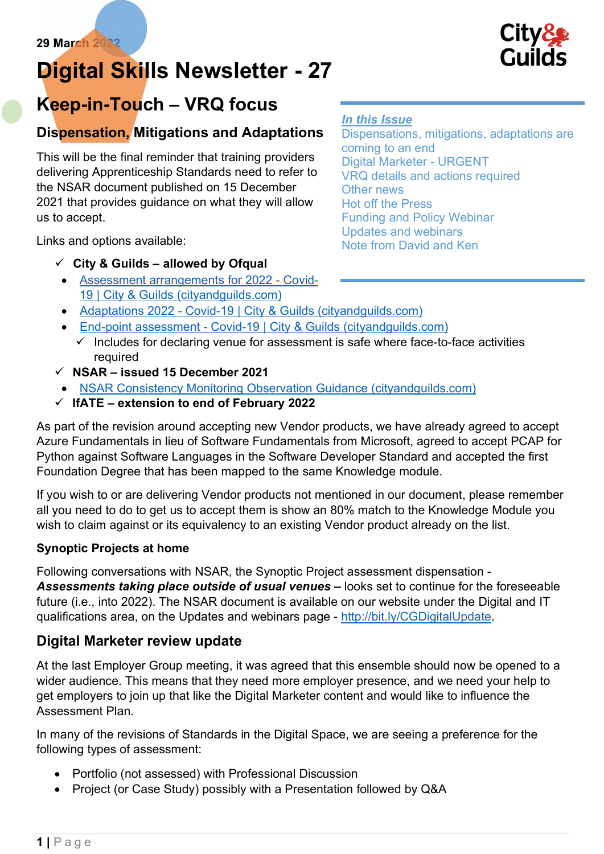# Digital Skills Newsletter - 27



## Keep-in-Touch – VRQ focus

## Dispensation, Mitigations and Adaptations

This will be the final reminder that training providers delivering Apprenticeship Standards need to refer to the NSAR document published on 15 December 2021 that provides guidance on what they will allow us to accept.

In this Issue

Dispensations, mitigations, adaptations are coming to an end Digital Marketer - URGENT VRQ details and actions required Other news Hot off the Press Funding and Policy Webinar Updates and webinars Note from David and Ken

Links and options available:

## $\checkmark$  City & Guilds – allowed by Ofqual

- Assessment arrangements for 2022 Covid-19 | City & Guilds (cityandguilds.com)
- Adaptations 2022 Covid-19 | City & Guilds (cityandguilds.com)
- End-point assessment Covid-19 | City & Guilds (cityandguilds.com)
	- $\checkmark$  Includes for declaring venue for assessment is safe where face-to-face activities required
- $\checkmark$  NSAR issued 15 December 2021
- NSAR Consistency Monitoring Observation Guidance (cityandguilds.com)
- $\checkmark$  IfATE extension to end of February 2022

As part of the revision around accepting new Vendor products, we have already agreed to accept Azure Fundamentals in lieu of Software Fundamentals from Microsoft, agreed to accept PCAP for Python against Software Languages in the Software Developer Standard and accepted the first Foundation Degree that has been mapped to the same Knowledge module.

If you wish to or are delivering Vendor products not mentioned in our document, please remember all you need to do to get us to accept them is show an 80% match to the Knowledge Module you wish to claim against or its equivalency to an existing Vendor product already on the list.

## Synoptic Projects at home

Following conversations with NSAR, the Synoptic Project assessment dispensation - Assessments taking place outside of usual venues – looks set to continue for the foreseeable future (i.e., into 2022). The NSAR document is available on our website under the Digital and IT qualifications area, on the Updates and webinars page - http://bit.ly/CGDigitalUpdate.

## Digital Marketer review update

At the last Employer Group meeting, it was agreed that this ensemble should now be opened to a wider audience. This means that they need more employer presence, and we need your help to get employers to join up that like the Digital Marketer content and would like to influence the Assessment Plan.

In many of the revisions of Standards in the Digital Space, we are seeing a preference for the following types of assessment:

- Portfolio (not assessed) with Professional Discussion
- Project (or Case Study) possibly with a Presentation followed by Q&A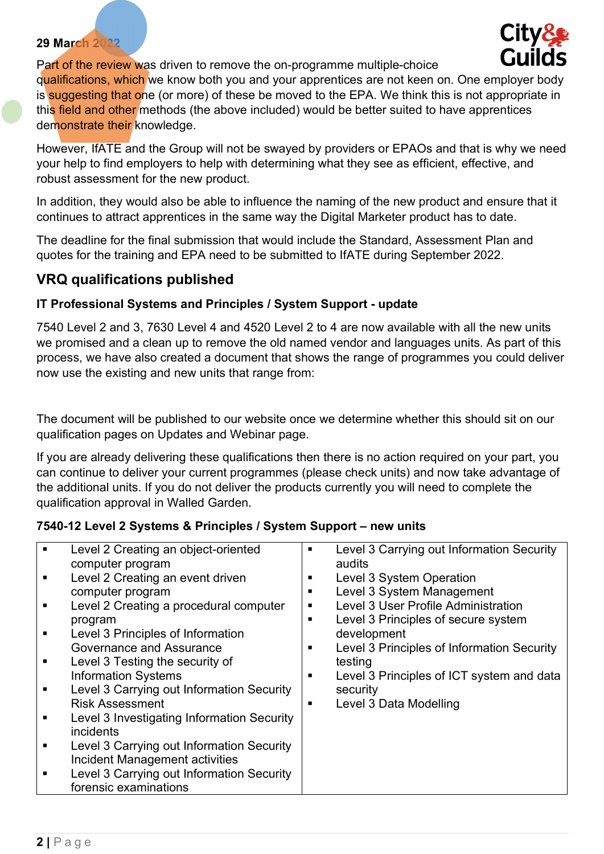**City** 

Part of the review was driven to remove the on-programme multiple-choice qualifications, which we know both you and your apprentices are not keen on. One employer body is suggesting that one (or more) of these be moved to the EPA. We think this is not appropriate in this field and other methods (the above included) would be better suited to have apprentices demonstrate their knowledge.

However, IfATE and the Group will not be swayed by providers or EPAOs and that is why we need your help to find employers to help with determining what they see as efficient, effective, and robust assessment for the new product.

In addition, they would also be able to influence the naming of the new product and ensure that it continues to attract apprentices in the same way the Digital Marketer product has to date.

The deadline for the final submission that would include the Standard, Assessment Plan and quotes for the training and EPA need to be submitted to IfATE during September 2022.

## VRQ qualifications published

#### IT Professional Systems and Principles / System Support - update

7540 Level 2 and 3, 7630 Level 4 and 4520 Level 2 to 4 are now available with all the new units we promised and a clean up to remove the old named vendor and languages units. As part of this process, we have also created a document that shows the range of programmes you could deliver now use the existing and new units that range from:

The document will be published to our website once we determine whether this should sit on our qualification pages on Updates and Webinar page.

If you are already delivering these qualifications then there is no action required on your part, you can continue to deliver your current programmes (please check units) and now take advantage of the additional units. If you do not deliver the products currently you will need to complete the qualification approval in Walled Garden.

#### 7540-12 Level 2 Systems & Principles / System Support – new units

| $\blacksquare$<br>٠<br>٠<br>٠<br>٠<br>٠<br>٠<br>٠ | Level 2 Creating an object-oriented<br>computer program<br>Level 2 Creating an event driven<br>computer program<br>Level 2 Creating a procedural computer<br>program<br>Level 3 Principles of Information<br>Governance and Assurance<br>Level 3 Testing the security of<br><b>Information Systems</b><br>Level 3 Carrying out Information Security<br><b>Risk Assessment</b><br>Level 3 Investigating Information Security<br><i>incidents</i><br>Level 3 Carrying out Information Security<br>Incident Management activities | п<br>п<br>п<br>п<br>п<br>п<br>п<br>п | Level 3 Carrying out Information Security<br>audits<br>Level 3 System Operation<br>Level 3 System Management<br>Level 3 User Profile Administration<br>Level 3 Principles of secure system<br>development<br>Level 3 Principles of Information Security<br>testing<br>Level 3 Principles of ICT system and data<br>security<br>Level 3 Data Modelling |
|---------------------------------------------------|--------------------------------------------------------------------------------------------------------------------------------------------------------------------------------------------------------------------------------------------------------------------------------------------------------------------------------------------------------------------------------------------------------------------------------------------------------------------------------------------------------------------------------|--------------------------------------|-------------------------------------------------------------------------------------------------------------------------------------------------------------------------------------------------------------------------------------------------------------------------------------------------------------------------------------------------------|
| ٠                                                 | Level 3 Carrying out Information Security<br>forensic examinations                                                                                                                                                                                                                                                                                                                                                                                                                                                             |                                      |                                                                                                                                                                                                                                                                                                                                                       |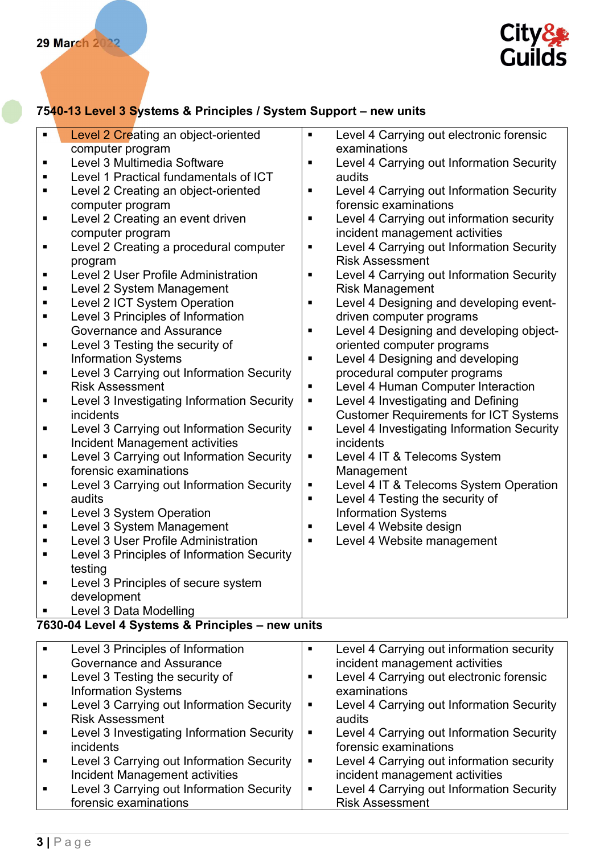

## 7540-13 Level 3 Systems & Principles / System Support – new units

| $\blacksquare$ | Level 2 Creating an object-oriented              | п              | Level 4 Carrying out electronic forensic     |
|----------------|--------------------------------------------------|----------------|----------------------------------------------|
|                | computer program                                 |                | examinations                                 |
| ٠              | Level 3 Multimedia Software                      | п              | Level 4 Carrying out Information Security    |
| п              | Level 1 Practical fundamentals of ICT            |                | audits                                       |
| ٠              | Level 2 Creating an object-oriented              | п              | Level 4 Carrying out Information Security    |
|                | computer program                                 |                | forensic examinations                        |
| п              | Level 2 Creating an event driven                 | ٠              | Level 4 Carrying out information security    |
|                | computer program                                 |                | incident management activities               |
| п              | Level 2 Creating a procedural computer           | Е              | Level 4 Carrying out Information Security    |
|                | program                                          |                | <b>Risk Assessment</b>                       |
| п              | <b>Level 2 User Profile Administration</b>       | П              | Level 4 Carrying out Information Security    |
| п              | Level 2 System Management                        |                | <b>Risk Management</b>                       |
| п              | Level 2 ICT System Operation                     | ٠              | Level 4 Designing and developing event-      |
| ٠              | Level 3 Principles of Information                |                | driven computer programs                     |
|                | Governance and Assurance                         | ٠              | Level 4 Designing and developing object-     |
| п              | Level 3 Testing the security of                  |                | oriented computer programs                   |
|                | <b>Information Systems</b>                       | п              | Level 4 Designing and developing             |
| Е              | Level 3 Carrying out Information Security        |                | procedural computer programs                 |
|                | <b>Risk Assessment</b>                           | п              | Level 4 Human Computer Interaction           |
| п              | Level 3 Investigating Information Security       | п              | Level 4 Investigating and Defining           |
|                | incidents                                        |                | <b>Customer Requirements for ICT Systems</b> |
| п              | Level 3 Carrying out Information Security        | п              | Level 4 Investigating Information Security   |
|                | Incident Management activities                   |                | incidents                                    |
| п              | Level 3 Carrying out Information Security        | п              | Level 4 IT & Telecoms System                 |
|                | forensic examinations                            |                | Management                                   |
| п              | Level 3 Carrying out Information Security        | п              | Level 4 IT & Telecoms System Operation       |
|                | audits                                           | ٠              | Level 4 Testing the security of              |
| Е              | Level 3 System Operation                         |                | <b>Information Systems</b>                   |
| ٠              | Level 3 System Management                        | п              | Level 4 Website design                       |
| п              | Level 3 User Profile Administration              | п              | Level 4 Website management                   |
| ٠              | Level 3 Principles of Information Security       |                |                                              |
|                | testing                                          |                |                                              |
| п              | Level 3 Principles of secure system              |                |                                              |
|                | development                                      |                |                                              |
|                |                                                  |                |                                              |
|                | Level 3 Data Modelling                           |                |                                              |
|                | 7630-04 Level 4 Systems & Principles - new units |                |                                              |
| ٠              | Level 3 Principles of Information                | $\blacksquare$ | Level 4 Carrying out information security    |
|                | <b>Governance and Assurance</b>                  |                | incident management activities               |
| п              | Level 3 Testing the security of                  | п              | Level 4 Carrying out electronic forensic     |
|                | <b>Information Systems</b>                       |                | examinations                                 |
| п              | Level 3 Carrying out Information Security        | ٠              | Level 4 Carrying out Information Security    |
|                | <b>Risk Assessment</b>                           |                | audits                                       |
| п              | Level 3 Investigating Information Security       | п              | Level 4 Carrying out Information Security    |
|                | incidents                                        |                | forensic examinations                        |
| ٠              | Level 3 Carrying out Information Security        | п              | Level 4 Carrying out information security    |
|                | Incident Management activities                   |                | incident management activities               |
| п              | Level 3 Carrying out Information Security        | п              | Level 4 Carrying out Information Security    |
|                | forensic examinations                            |                | <b>Risk Assessment</b>                       |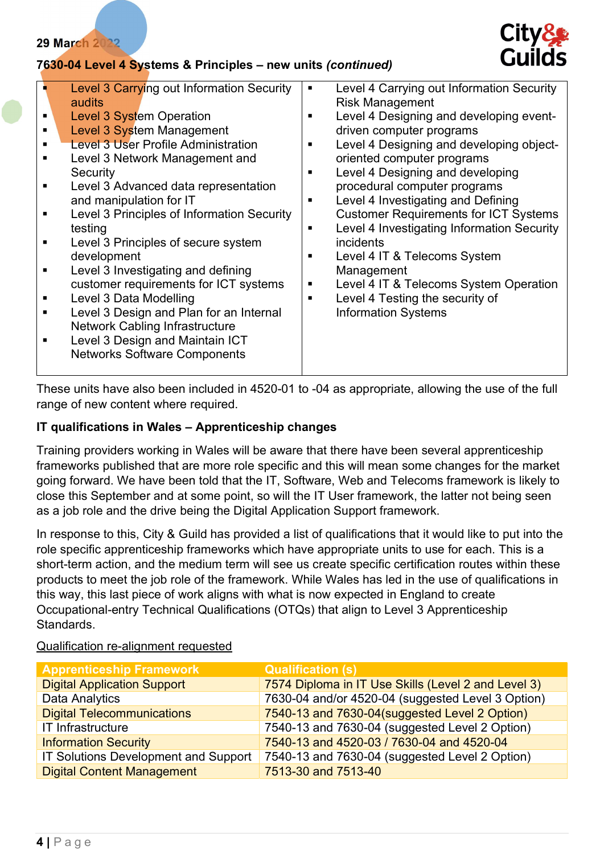#### 7630-04 Level 4 Systems & Principles – new units (continued)



| ٠ | Level 3 Carrying out Information Security<br>audits<br><b>Level 3 System Operation</b><br><b>Level 3 System Management</b><br><b>Level 3 User Profile Administration</b><br>Level 3 Network Management and<br>Security<br>Level 3 Advanced data representation<br>and manipulation for IT<br>Level 3 Principles of Information Security<br>testing | п<br>п<br>п<br>п<br>п<br>п | Level 4 Carrying out Information Security<br><b>Risk Management</b><br>Level 4 Designing and developing event-<br>driven computer programs<br>Level 4 Designing and developing object-<br>oriented computer programs<br>Level 4 Designing and developing<br>procedural computer programs<br>Level 4 Investigating and Defining<br><b>Customer Requirements for ICT Systems</b><br>Level 4 Investigating Information Security |
|---|----------------------------------------------------------------------------------------------------------------------------------------------------------------------------------------------------------------------------------------------------------------------------------------------------------------------------------------------------|----------------------------|------------------------------------------------------------------------------------------------------------------------------------------------------------------------------------------------------------------------------------------------------------------------------------------------------------------------------------------------------------------------------------------------------------------------------|
|   | development<br>Level 3 Investigating and defining<br>customer requirements for ICT systems                                                                                                                                                                                                                                                         | п<br>п                     | Level 4 IT & Telecoms System<br>Management<br>Level 4 IT & Telecoms System Operation                                                                                                                                                                                                                                                                                                                                         |
|   | Level 3 Data Modelling                                                                                                                                                                                                                                                                                                                             | п                          | Level 4 Testing the security of                                                                                                                                                                                                                                                                                                                                                                                              |
|   | Level 3 Design and Plan for an Internal                                                                                                                                                                                                                                                                                                            |                            | <b>Information Systems</b>                                                                                                                                                                                                                                                                                                                                                                                                   |
|   | <b>Network Cabling Infrastructure</b>                                                                                                                                                                                                                                                                                                              |                            |                                                                                                                                                                                                                                                                                                                                                                                                                              |
|   | Level 3 Design and Maintain ICT                                                                                                                                                                                                                                                                                                                    |                            |                                                                                                                                                                                                                                                                                                                                                                                                                              |
|   | <b>Networks Software Components</b>                                                                                                                                                                                                                                                                                                                |                            |                                                                                                                                                                                                                                                                                                                                                                                                                              |
|   |                                                                                                                                                                                                                                                                                                                                                    |                            |                                                                                                                                                                                                                                                                                                                                                                                                                              |

These units have also been included in 4520-01 to -04 as appropriate, allowing the use of the full range of new content where required.

#### IT qualifications in Wales – Apprenticeship changes

Training providers working in Wales will be aware that there have been several apprenticeship frameworks published that are more role specific and this will mean some changes for the market going forward. We have been told that the IT, Software, Web and Telecoms framework is likely to close this September and at some point, so will the IT User framework, the latter not being seen as a job role and the drive being the Digital Application Support framework.

In response to this, City & Guild has provided a list of qualifications that it would like to put into the role specific apprenticeship frameworks which have appropriate units to use for each. This is a short-term action, and the medium term will see us create specific certification routes within these products to meet the job role of the framework. While Wales has led in the use of qualifications in this way, this last piece of work aligns with what is now expected in England to create Occupational-entry Technical Qualifications (OTQs) that align to Level 3 Apprenticeship Standards.

#### Qualification re-alignment requested

| <b>Apprenticeship Framework</b>      | <b>Qualification (s)</b>                            |
|--------------------------------------|-----------------------------------------------------|
| <b>Digital Application Support</b>   | 7574 Diploma in IT Use Skills (Level 2 and Level 3) |
| Data Analytics                       | 7630-04 and/or 4520-04 (suggested Level 3 Option)   |
| <b>Digital Telecommunications</b>    | 7540-13 and 7630-04(suggested Level 2 Option)       |
| IT Infrastructure                    | 7540-13 and 7630-04 (suggested Level 2 Option)      |
| <b>Information Security</b>          | 7540-13 and 4520-03 / 7630-04 and 4520-04           |
| IT Solutions Development and Support | 7540-13 and 7630-04 (suggested Level 2 Option)      |
| <b>Digital Content Management</b>    | 7513-30 and 7513-40                                 |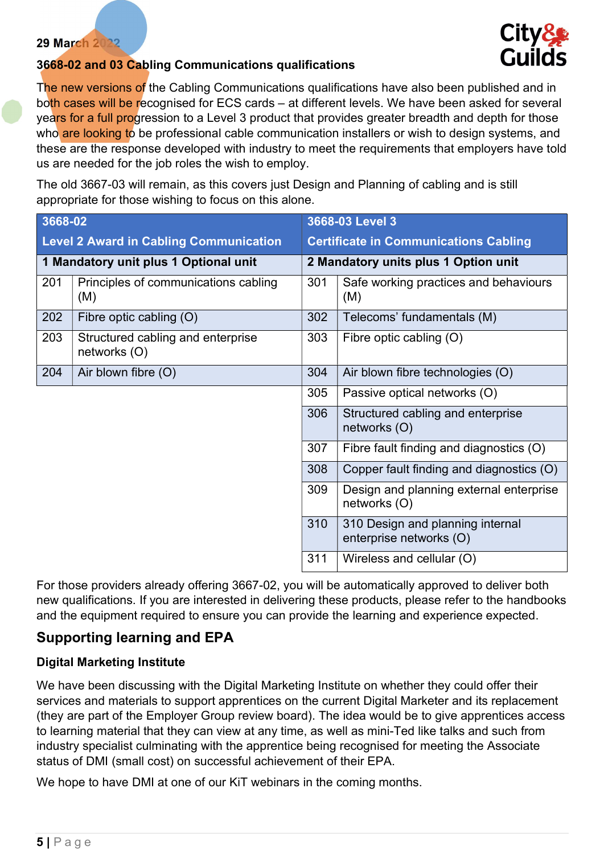

#### 3668-02 and 03 Cabling Communications qualifications

The new versions of the Cabling Communications qualifications have also been published and in both cases will be recognised for ECS cards – at different levels. We have been asked for several years for a full progression to a Level 3 product that provides greater breadth and depth for those who are looking to be professional cable communication installers or wish to design systems, and these are the response developed with industry to meet the requirements that employers have told us are needed for the job roles the wish to employ.

The old 3667-03 will remain, as this covers just Design and Planning of cabling and is still appropriate for those wishing to focus on this alone.

| 3668-02                                       |                                                   | 3668-03 Level 3                              |                                                             |
|-----------------------------------------------|---------------------------------------------------|----------------------------------------------|-------------------------------------------------------------|
| <b>Level 2 Award in Cabling Communication</b> |                                                   | <b>Certificate in Communications Cabling</b> |                                                             |
|                                               | 1 Mandatory unit plus 1 Optional unit             |                                              | 2 Mandatory units plus 1 Option unit                        |
| 201                                           | Principles of communications cabling<br>(M)       | 301                                          | Safe working practices and behaviours<br>(M)                |
| 202                                           | Fibre optic cabling (O)                           | 302                                          | Telecoms' fundamentals (M)                                  |
| 203                                           | Structured cabling and enterprise<br>networks (O) | 303                                          | Fibre optic cabling $(O)$                                   |
| 204                                           | Air blown fibre (O)                               | 304                                          | Air blown fibre technologies (O)                            |
|                                               |                                                   | 305                                          | Passive optical networks (O)                                |
|                                               |                                                   | 306                                          | Structured cabling and enterprise<br>networks (O)           |
|                                               |                                                   | 307                                          | Fibre fault finding and diagnostics (O)                     |
|                                               |                                                   | 308                                          | Copper fault finding and diagnostics (O)                    |
|                                               |                                                   | 309                                          | Design and planning external enterprise<br>networks (O)     |
|                                               |                                                   | 310                                          | 310 Design and planning internal<br>enterprise networks (O) |
|                                               |                                                   | 311                                          | Wireless and cellular (O)                                   |

For those providers already offering 3667-02, you will be automatically approved to deliver both new qualifications. If you are interested in delivering these products, please refer to the handbooks and the equipment required to ensure you can provide the learning and experience expected.

## Supporting learning and EPA

#### Digital Marketing Institute

We have been discussing with the Digital Marketing Institute on whether they could offer their services and materials to support apprentices on the current Digital Marketer and its replacement (they are part of the Employer Group review board). The idea would be to give apprentices access to learning material that they can view at any time, as well as mini-Ted like talks and such from industry specialist culminating with the apprentice being recognised for meeting the Associate status of DMI (small cost) on successful achievement of their EPA.

We hope to have DMI at one of our KiT webinars in the coming months.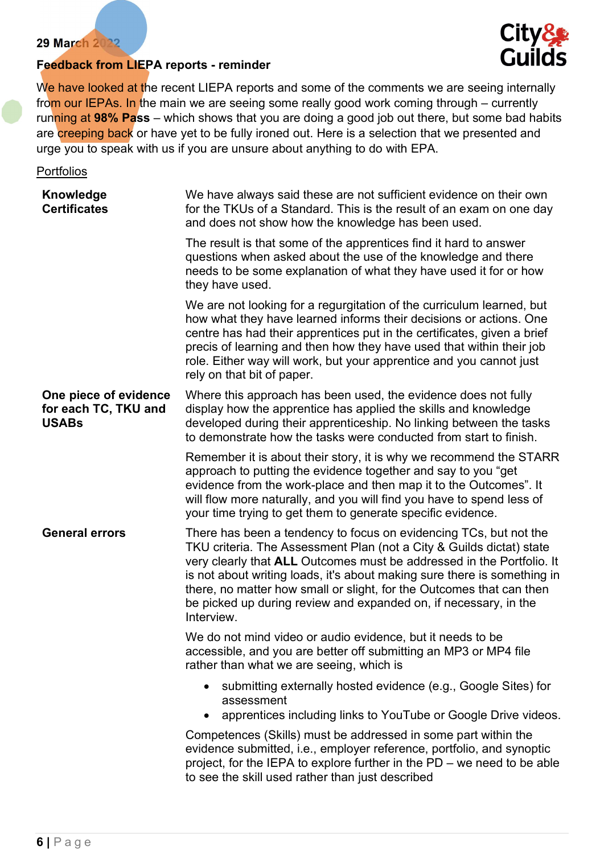



We have looked at the recent LIEPA reports and some of the comments we are seeing internally from our IEPAs. In the main we are seeing some really good work coming through – currently running at 98% Pass – which shows that you are doing a good job out there, but some bad habits are creeping back or have yet to be fully ironed out. Here is a selection that we presented and urge you to speak with us if you are unsure about anything to do with EPA.

**Portfolios** 

| Knowledge<br><b>Certificates</b>                              | We have always said these are not sufficient evidence on their own<br>for the TKUs of a Standard. This is the result of an exam on one day<br>and does not show how the knowledge has been used.                                                                                                                                                                                                                                                         |
|---------------------------------------------------------------|----------------------------------------------------------------------------------------------------------------------------------------------------------------------------------------------------------------------------------------------------------------------------------------------------------------------------------------------------------------------------------------------------------------------------------------------------------|
|                                                               | The result is that some of the apprentices find it hard to answer<br>questions when asked about the use of the knowledge and there<br>needs to be some explanation of what they have used it for or how<br>they have used.                                                                                                                                                                                                                               |
|                                                               | We are not looking for a regurgitation of the curriculum learned, but<br>how what they have learned informs their decisions or actions. One<br>centre has had their apprentices put in the certificates, given a brief<br>precis of learning and then how they have used that within their job<br>role. Either way will work, but your apprentice and you cannot just<br>rely on that bit of paper.                                                      |
| One piece of evidence<br>for each TC, TKU and<br><b>USABs</b> | Where this approach has been used, the evidence does not fully<br>display how the apprentice has applied the skills and knowledge<br>developed during their apprenticeship. No linking between the tasks<br>to demonstrate how the tasks were conducted from start to finish.                                                                                                                                                                            |
|                                                               | Remember it is about their story, it is why we recommend the STARR<br>approach to putting the evidence together and say to you "get<br>evidence from the work-place and then map it to the Outcomes". It<br>will flow more naturally, and you will find you have to spend less of<br>your time trying to get them to generate specific evidence.                                                                                                         |
| <b>General errors</b>                                         | There has been a tendency to focus on evidencing TCs, but not the<br>TKU criteria. The Assessment Plan (not a City & Guilds dictat) state<br>very clearly that ALL Outcomes must be addressed in the Portfolio. It<br>is not about writing loads, it's about making sure there is something in<br>there, no matter how small or slight, for the Outcomes that can then<br>be picked up during review and expanded on, if necessary, in the<br>Interview. |
|                                                               | We do not mind video or audio evidence, but it needs to be<br>accessible, and you are better off submitting an MP3 or MP4 file<br>rather than what we are seeing, which is                                                                                                                                                                                                                                                                               |
|                                                               | submitting externally hosted evidence (e.g., Google Sites) for<br>assessment<br>apprentices including links to YouTube or Google Drive videos.                                                                                                                                                                                                                                                                                                           |
|                                                               | Competences (Skills) must be addressed in some part within the<br>evidence submitted, i.e., employer reference, portfolio, and synoptic<br>project, for the IEPA to explore further in the $PD$ – we need to be able<br>to see the skill used rather than just described                                                                                                                                                                                 |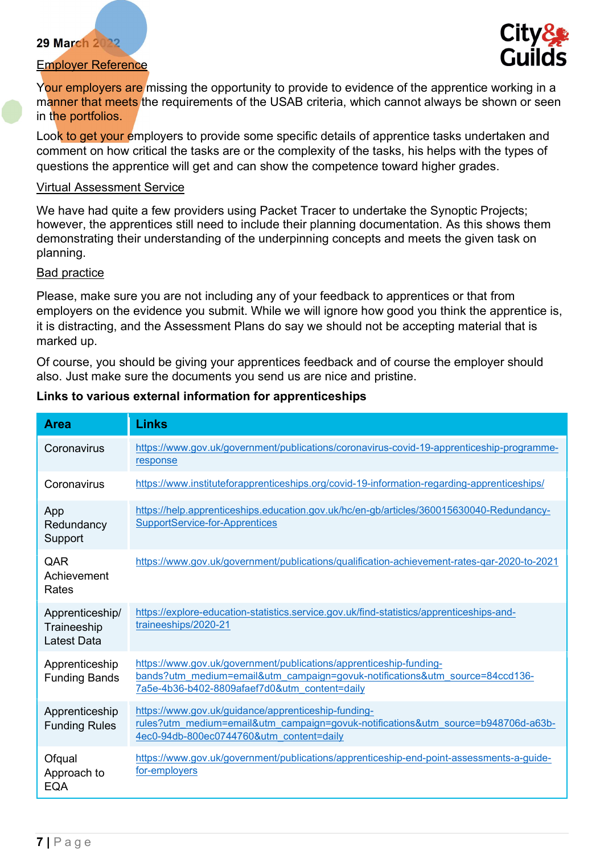#### Employer Reference



Your employers are missing the opportunity to provide to evidence of the apprentice working in a manner that meets the requirements of the USAB criteria, which cannot always be shown or seen in the portfolios.

Look to get your employers to provide some specific details of apprentice tasks undertaken and comment on how critical the tasks are or the complexity of the tasks, his helps with the types of questions the apprentice will get and can show the competence toward higher grades.

#### Virtual Assessment Service

We have had quite a few providers using Packet Tracer to undertake the Synoptic Projects; however, the apprentices still need to include their planning documentation. As this shows them demonstrating their understanding of the underpinning concepts and meets the given task on planning.

#### Bad practice

Please, make sure you are not including any of your feedback to apprentices or that from employers on the evidence you submit. While we will ignore how good you think the apprentice is, it is distracting, and the Assessment Plans do say we should not be accepting material that is marked up.

Of course, you should be giving your apprentices feedback and of course the employer should also. Just make sure the documents you send us are nice and pristine.

#### Links to various external information for apprenticeships

| <b>Area</b>                                          | <b>Links</b>                                                                                                                                                                                        |  |  |
|------------------------------------------------------|-----------------------------------------------------------------------------------------------------------------------------------------------------------------------------------------------------|--|--|
| Coronavirus                                          | https://www.gov.uk/government/publications/coronavirus-covid-19-apprenticeship-programme-<br>response                                                                                               |  |  |
| Coronavirus                                          | https://www.instituteforapprenticeships.org/covid-19-information-regarding-apprenticeships/                                                                                                         |  |  |
| App<br>Redundancy<br>Support                         | https://help.apprenticeships.education.gov.uk/hc/en-gb/articles/360015630040-Redundancy-<br>SupportService-for-Apprentices                                                                          |  |  |
| QAR<br>Achievement<br>Rates                          | https://www.gov.uk/government/publications/qualification-achievement-rates-qar-2020-to-2021                                                                                                         |  |  |
| Apprenticeship/<br>Traineeship<br><b>Latest Data</b> | https://explore-education-statistics.service.gov.uk/find-statistics/apprenticeships-and-<br>traineeships/2020-21                                                                                    |  |  |
| Apprenticeship<br><b>Funding Bands</b>               | https://www.gov.uk/government/publications/apprenticeship-funding-<br>bands?utm_medium=email&utm_campaign=govuk-notifications&utm_source=84ccd136-<br>7a5e-4b36-b402-8809afaef7d0&utm content=daily |  |  |
| Apprenticeship<br><b>Funding Rules</b>               | https://www.gov.uk/guidance/apprenticeship-funding-<br>rules?utm_medium=email&utm_campaign=govuk-notifications&utm_source=b948706d-a63b-<br>4ec0-94db-800ec0744760&utm content=daily                |  |  |
| Ofqual<br>Approach to<br><b>EQA</b>                  | https://www.gov.uk/government/publications/apprenticeship-end-point-assessments-a-guide-<br>for-employers                                                                                           |  |  |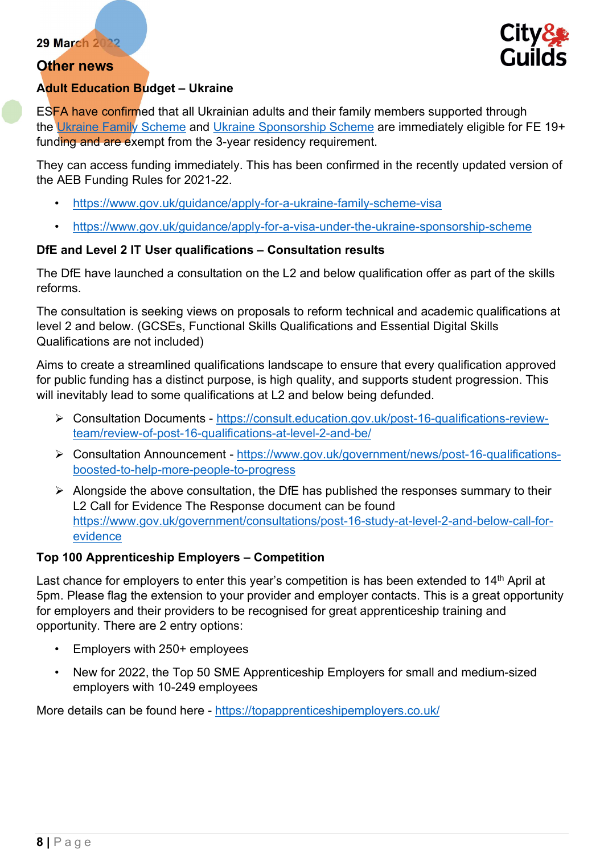#### Other news



#### Adult Education Budget – Ukraine

ESFA have confirmed that all Ukrainian adults and their family members supported through the Ukraine Family Scheme and Ukraine Sponsorship Scheme are immediately eligible for FE 19+ funding and are exempt from the 3-year residency requirement.

They can access funding immediately. This has been confirmed in the recently updated version of the AEB Funding Rules for 2021-22.

- https://www.gov.uk/guidance/apply-for-a-ukraine-family-scheme-visa
- https://www.gov.uk/guidance/apply-for-a-visa-under-the-ukraine-sponsorship-scheme

#### DfE and Level 2 IT User qualifications – Consultation results

The DfE have launched a consultation on the L2 and below qualification offer as part of the skills reforms.

The consultation is seeking views on proposals to reform technical and academic qualifications at level 2 and below. (GCSEs, Functional Skills Qualifications and Essential Digital Skills Qualifications are not included)

Aims to create a streamlined qualifications landscape to ensure that every qualification approved for public funding has a distinct purpose, is high quality, and supports student progression. This will inevitably lead to some qualifications at L2 and below being defunded.

- Consultation Documents https://consult.education.gov.uk/post-16-qualifications-reviewteam/review-of-post-16-qualifications-at-level-2-and-be/
- Consultation Announcement https://www.gov.uk/government/news/post-16-qualificationsboosted-to-help-more-people-to-progress
- $\triangleright$  Alongside the above consultation, the DfE has published the responses summary to their L2 Call for Evidence The Response document can be found https://www.gov.uk/government/consultations/post-16-study-at-level-2-and-below-call-forevidence

## Top 100 Apprenticeship Employers – Competition

Last chance for employers to enter this year's competition is has been extended to 14<sup>th</sup> April at 5pm. Please flag the extension to your provider and employer contacts. This is a great opportunity for employers and their providers to be recognised for great apprenticeship training and opportunity. There are 2 entry options:

- Employers with 250+ employees
- New for 2022, the Top 50 SME Apprenticeship Employers for small and medium-sized employers with 10-249 employees

More details can be found here - https://topapprenticeshipemployers.co.uk/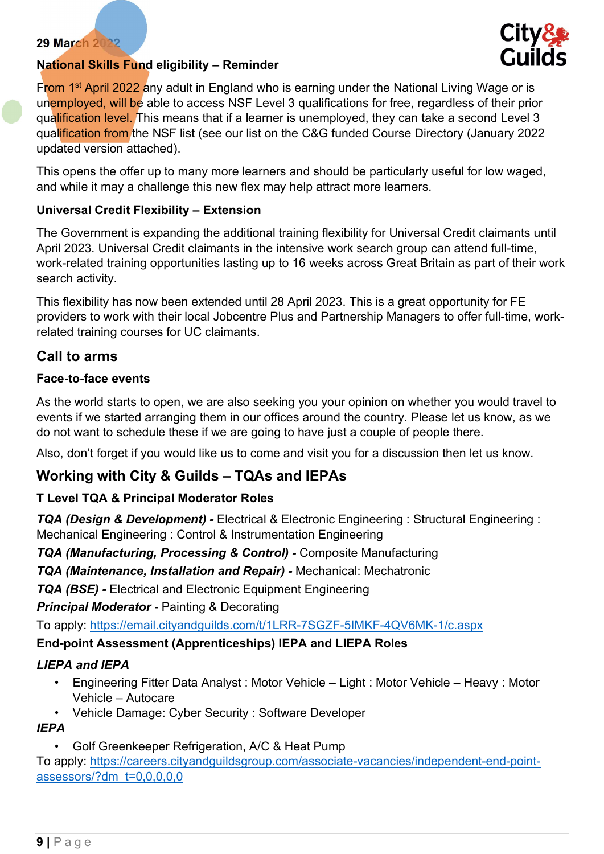

#### National Skills Fund eligibility – Reminder

From 1<sup>st</sup> April 2022 any adult in England who is earning under the National Living Wage or is unemployed, will be able to access NSF Level 3 qualifications for free, regardless of their prior qualification level. This means that if a learner is unemployed, they can take a second Level 3 qualification from the NSF list (see our list on the C&G funded Course Directory (January 2022 updated version attached).

This opens the offer up to many more learners and should be particularly useful for low waged, and while it may a challenge this new flex may help attract more learners.

#### Universal Credit Flexibility – Extension

The Government is expanding the additional training flexibility for Universal Credit claimants until April 2023. Universal Credit claimants in the intensive work search group can attend full-time, work-related training opportunities lasting up to 16 weeks across Great Britain as part of their work search activity.

This flexibility has now been extended until 28 April 2023. This is a great opportunity for FE providers to work with their local Jobcentre Plus and Partnership Managers to offer full-time, workrelated training courses for UC claimants.

#### Call to arms

#### Face-to-face events

As the world starts to open, we are also seeking you your opinion on whether you would travel to events if we started arranging them in our offices around the country. Please let us know, as we do not want to schedule these if we are going to have just a couple of people there.

Also, don't forget if you would like us to come and visit you for a discussion then let us know.

## Working with City & Guilds – TQAs and IEPAs

#### T Level TQA & Principal Moderator Roles

TQA (Design & Development) - Electrical & Electronic Engineering : Structural Engineering : Mechanical Engineering : Control & Instrumentation Engineering

TQA (Manufacturing, Processing & Control) - Composite Manufacturing

TQA (Maintenance, Installation and Repair) - Mechanical: Mechatronic

TQA (BSE) - Electrical and Electronic Equipment Engineering

#### **Principal Moderator - Painting & Decorating**

To apply: https://email.cityandguilds.com/t/1LRR-7SGZF-5IMKF-4QV6MK-1/c.aspx

#### End-point Assessment (Apprenticeships) IEPA and LIEPA Roles

#### LIEPA and IEPA

- Engineering Fitter Data Analyst : Motor Vehicle Light : Motor Vehicle Heavy : Motor Vehicle – Autocare
- Vehicle Damage: Cyber Security : Software Developer

## IEPA

• Golf Greenkeeper Refrigeration, A/C & Heat Pump

To apply: https://careers.cityandguildsgroup.com/associate-vacancies/independent-end-pointassessors/?dm\_t=0,0,0,0,0